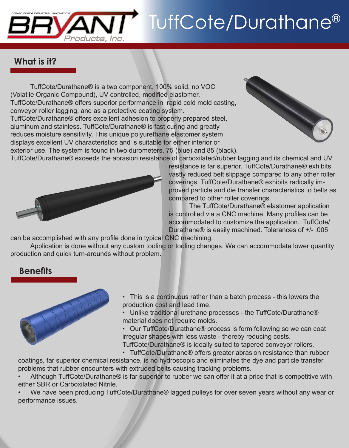

# TuffCote/Durathane®

## **What is it?**

 TuffCote/Durathane® is a two component, 100% solid, no VOC (Volatile Organic Compound), UV controlled, modified elastomer. TuffCote/Durathane® offers superior performance in rapid cold mold casting, conveyor roller lagging, and as a protective coating system. TuffCote/Durathane® offers excellent adhesion to properly prepared steel, aluminum and stainless. TuffCote/Durathane® is fast curing and greatly reduces moisture sensitivity. This unique polyurethane elastomer system displays excellent UV characteristics and is suitable for either interior or exterior use. The system is found in two durometers, 75 (blue) and 85 (black).



TuffCote/Durathane® exceeds the abrasion resistance of carboxilated/rubber lagging and its chemical and UV



resistance is far superior. TuffCote/Durathane® exhibits vastly reduced belt slippage compared to any other roller coverings. TuffCote/Durathane® exhibits radically improved particle and die transfer characteristics to belts as compared to other roller coverings.

 The TuffCote/Durathane® elastomer application is controlled via a CNC machine. Many profiles can be accommodated to customize the application. TuffCote/ Durathane® is easily machined. Tolerances of +/- .005

can be accomplished with any profile done in typical CNC machining.

 Application is done without any custom tooling or tooling changes. We can accommodate lower quantity production and quick turn-arounds without problem.

#### **Benefits**



- This is a continuous rather than a batch process this lowers the production cost and lead time.
- Unlike traditional urethane processes the TuffCote/Durathane® material does not require molds.
- Our TuffCote/Durathane® process is form following so we can coat irregular shapes with less waste - thereby reducing costs.
- TuffCote/Durathane® is ideally suited to tapered conveyor rollers.
- TuffCote/Durathane® offers greater abrasion resistance than rubber

coatings, far superior chemical resistance, is no hydroscopic and eliminates the dye and particle transfer problems that rubber encounters with extruded belts causing tracking problems.

Although TuffCote/Durathane® is far superior to rubber we can offer it at a price that is competitive with either SBR or Carboxilated Nitrile.

We have been producing TuffCote/Durathane® lagged pulleys for over seven years without any wear or performance issues.